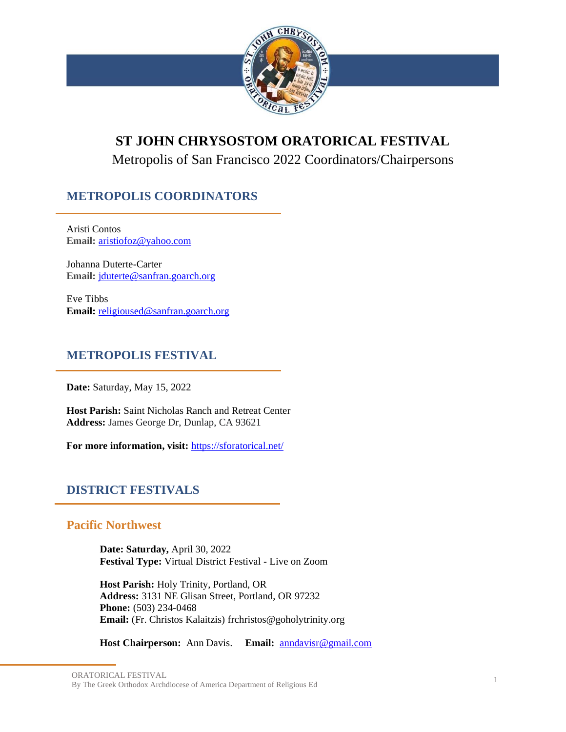

# **ST JOHN CHRYSOSTOM ORATORICAL FESTIVAL**

Metropolis of San Francisco 2022 Coordinators/Chairpersons

# **METROPOLIS COORDINATORS**

Aristi Contos **Email:** [aristiofoz@yahoo.com](mailto:aristiofoz@yahoo.com)

Johanna Duterte-Carter **Email:** [jduterte@sanfran.goarch.org](mailto:jduterte@sanfran.goarch.org)

Eve Tibbs **Email:** [religioused@sanfran.goarch.org](mailto:religioused@sanfran.goarch.org)

# **METROPOLIS FESTIVAL**

**Date:** Saturday, May 15, 2022

**Host Parish:** Saint Nicholas Ranch and Retreat Center **Address:** James George Dr, Dunlap, CA 93621

**For more information, visit:** <https://sforatorical.net/>

# **DISTRICT FESTIVALS**

# **Pacific Northwest**

**Date: Saturday,** April 30, 2022 **Festival Type:** Virtual District Festival - Live on Zoom

**Host Parish:** Holy Trinity, Portland, OR **Address:** 3131 NE Glisan Street, Portland, OR 97232 **Phone:** (503) 234-0468 **Email:** (Fr. Christos Kalaitzis) frchristos@goholytrinity.org

**Host Chairperson:** Ann Davis. **Email:** [anndavisr@gmail.com](mailto:anndavisr@gmail.com)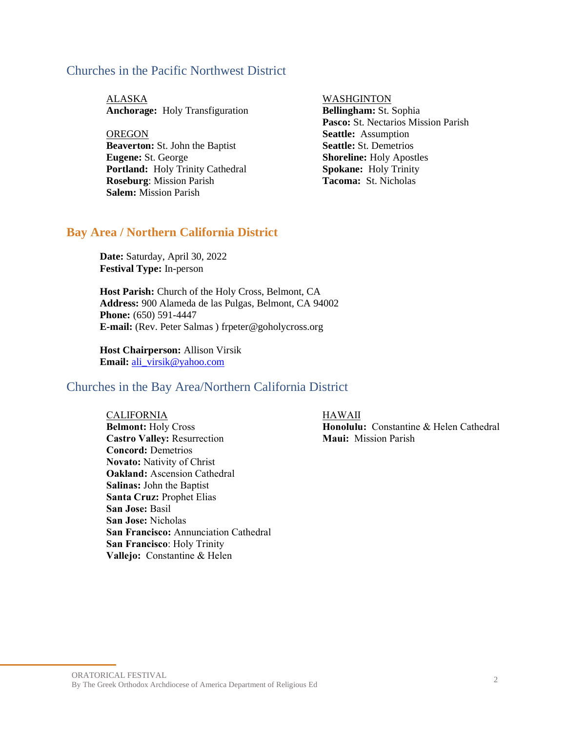### Churches in the Pacific Northwest District

ALASKA WASHGINTON **Anchorage:** Holy Transfiguration **Bellingham:** St. Sophia

**OREGON Beaverton:** St. John the Baptist **Eugene:** St. George **Portland:** Holy Trinity Cathedral **Roseburg**: Mission Parish **Salem:** Mission Parish

**Pasco:** St. Nectarios Mission Parish **Seattle:** Assumption **Seattle:** St. Demetrios **Shoreline:** Holy Apostles **Spokane:** Holy Trinity **Tacoma:** St. Nicholas

#### **Bay Area / Northern California District**

**Date:** Saturday, April 30, 2022 **Festival Type:** In-person

**Host Parish:** Church of the Holy Cross, Belmont, CA **Address:** 900 Alameda de las Pulgas, Belmont, CA 94002 **Phone:** (650) 591-4447 **E-mail:** (Rev. Peter Salmas ) frpeter@goholycross.org

**Host Chairperson:** Allison Virsik **Email:** [ali\\_virsik@yahoo.com](mailto:ali_virsik@yahoo.com)

### Churches in the Bay Area/Northern California District

CALIFORNIA HAWAII **Belmont:** Holy Cross **Castro Valley:** Resurrection **Concord:** Demetrios **Novato:** Nativity of Christ **Oakland:** Ascension Cathedral **Salinas:** John the Baptist **Santa Cruz:** Prophet Elias **San Jose:** Basil **San Jose:** Nicholas **San Francisco:** Annunciation Cathedral **San Francisco**: Holy Trinity **Vallejo:** Constantine & Helen

**Honolulu:** Constantine & Helen Cathedral **Maui:** Mission Parish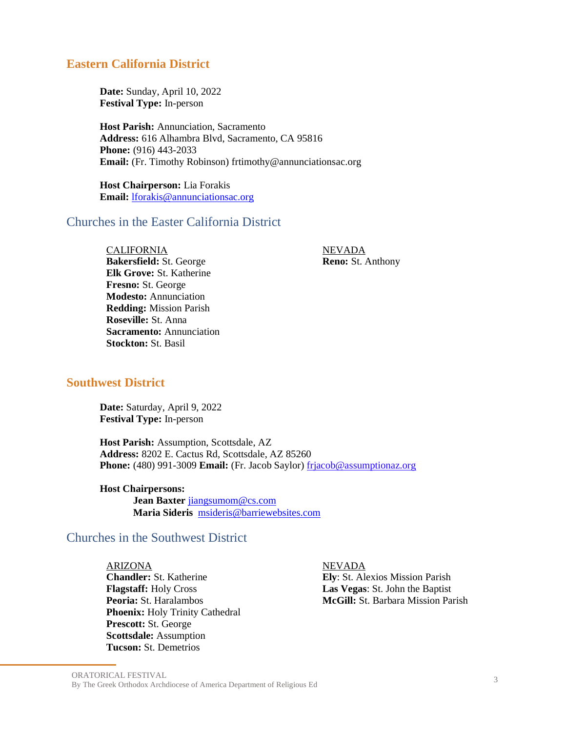### **Eastern California District**

**Date:** Sunday, April 10, 2022 **Festival Type:** In-person

**Host Parish:** Annunciation, Sacramento **Address:** 616 Alhambra Blvd, Sacramento, CA 95816 **Phone:** (916) 443-2033 **Email:** (Fr. Timothy Robinson) frtimothy@annunciationsac.org

**Host Chairperson:** Lia Forakis **Email:** [lforakis@annunciationsac.org](mailto:lforakis@annunciationsac.org)

## Churches in the Easter California District

CALIFORNIA NEVADA **Bakersfield:** St. George **Elk Grove:** St. Katherine **Fresno:** St. George **Modesto:** Annunciation **Redding:** Mission Parish **Roseville:** St. Anna **Sacramento:** Annunciation **Stockton:** St. Basil

**Reno:** St. Anthony

#### **Southwest District**

**Date:** Saturday, April 9, 2022 **Festival Type:** In-person

**Host Parish:** Assumption, Scottsdale, AZ **Address:** 8202 E. Cactus Rd, Scottsdale, AZ 85260 **Phone:** (480) 991-3009 **Email:** (Fr. Jacob Saylor) [frjacob@assumptionaz.org](mailto:frjacob@assumptionaz.org)

**Host Chairpersons: Jean Baxter** [jiangsumom@cs.com](mailto:jiangsumom@cs.com) **Maria Sideris** [msideris@barriewebsites.com](mailto:msideris@barriewebsites.com)

### Churches in the Southwest District

ARIZONA NEVADA **Chandler:** St. Katherine **Flagstaff:** Holy Cross **Peoria:** St. Haralambos **Phoenix:** Holy Trinity Cathedral **Prescott:** St. George **Scottsdale:** Assumption **Tucson:** St. Demetrios

**Ely**: St. Alexios Mission Parish **Las Vegas**: St. John the Baptist **McGill:** St. Barbara Mission Parish

ORATORICAL FESTIVAL By The Greek Orthodox Archdiocese of America Department of Religious Ed <sup>3</sup>